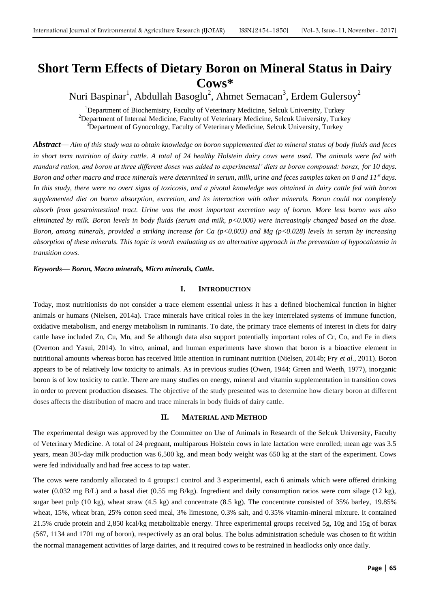# **Short Term Effects of Dietary Boron on Mineral Status in Dairy Cows\***

Nuri Baspinar $^{\rm l}$ , Abdullah Basoglu $^{\rm 2}$ , Ahmet Semacan $^{\rm 3}$ , Erdem Gulersoy $^{\rm 2}$ 

<sup>1</sup>Department of Biochemistry, Faculty of Veterinary Medicine, Selcuk University, Turkey <sup>2</sup>Department of Internal Medicine, Faculty of Veterinary Medicine, Selcuk University, Turkey <sup>3</sup>Department of Gynocology, Faculty of Veterinary Medicine, Selcuk University, Turkey

*Abstract***—** *Aim of this study was to obtain knowledge on boron supplemented diet to mineral status of body fluids and feces in short term nutrition of dairy cattle. A total of 24 healthy Holstein dairy cows were used. The animals were fed with standard ration, and boron at three different doses was added to experimental' diets as boron compound: borax, for 10 days. Boron and other macro and trace minerals were determined in serum, milk, urine and feces samples taken on 0 and 11st days. In this study, there were no overt signs of toxicosis, and a pivotal knowledge was obtained in dairy cattle fed with boron supplemented diet on boron absorption, excretion, and its interaction with other minerals. Boron could not completely absorb from gastrointestinal tract. Urine was the most important excretion way of boron. More less boron was also eliminated by milk. Boron levels in body fluids (serum and milk, p<0.000) were increasingly changed based on the dose. Boron, among minerals, provided a striking increase for Ca (p<0.003) and Mg (p<0.028) levels in serum by increasing absorption of these minerals. This topic is worth evaluating as an alternative approach in the prevention of hypocalcemia in transition cows.*

*Keywords***—** *Boron, Macro minerals, Micro minerals, Cattle.*

### **I. INTRODUCTION**

Today, most nutritionists do not consider a trace element essential unless it has a defined biochemical function in higher animals or humans (Nielsen, 2014a). Trace minerals have critical roles in the key interrelated systems of immune function, oxidative metabolism, and energy metabolism in ruminants. To date, the primary trace elements of interest in diets for dairy cattle have included Zn, Cu, Mn, and Se although data also support potentially important roles of Cr, Co, and Fe in diets (Overton and Yasui, 2014). In vitro, animal, and human experiments have shown that boron is a bioactive element in nutritional amounts whereas boron has received little attention in ruminant nutrition (Nielsen, 2014b; Fry *et al.*, 2011). Boron appears to be of relatively low toxicity to animals. As in previous studies (Owen, 1944; Green and Weeth, 1977), inorganic boron is of low toxicity to cattle. There are many studies on energy, mineral and vitamin supplementation in transition cows in order to prevent production diseases. The objective of the study presented was to determine how dietary boron at different doses affects the distribution of macro and trace minerals in body fluids of dairy cattle.

### **II. MATERIAL AND METHOD**

The experimental design was approved by the Committee on Use of Animals in Research of the Selcuk University, Faculty of Veterinary Medicine. A total of 24 pregnant, multiparous Holstein cows in late lactation were enrolled; mean age was 3.5 years, mean 305-day milk production was 6,500 kg, and mean body weight was 650 kg at the start of the experiment. Cows were fed individually and had free access to tap water.

The cows were randomly allocated to 4 groups:1 control and 3 experimental, each 6 animals which were offered drinking water (0.032 mg B/L) and a basal diet (0.55 mg B/kg). Ingredient and daily consumption ratios were corn silage (12 kg), sugar beet pulp (10 kg), wheat straw (4.5 kg) and concentrate (8.5 kg). The concentrate consisted of 35% barley, 19.85% wheat, 15%, wheat bran, 25% cotton seed meal, 3% limestone, 0.3% salt, and 0.35% vitamin-mineral mixture. It contained 21.5% crude protein and 2,850 kcal/kg metabolizable energy. Three experimental groups received 5g, 10g and 15g of borax (567, 1134 and 1701 mg of boron), respectively as an oral bolus. The bolus administration schedule was chosen to fit within the normal management activities of large dairies, and it required cows to be restrained in headlocks only once daily.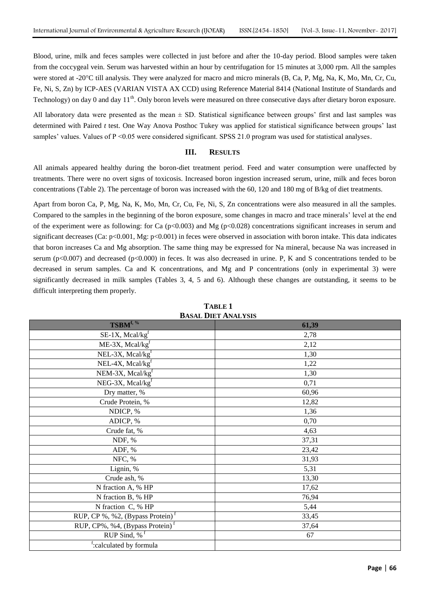Blood, urine, milk and feces samples were collected in just before and after the 10-day period. Blood samples were taken from the coccygeal vein. Serum was harvested within an hour by centrifugation for 15 minutes at 3,000 rpm. All the samples were stored at -20<sup>o</sup>C till analysis. They were analyzed for macro and micro minerals (B, Ca, P, Mg, Na, K, Mo, Mn, Cr, Cu, Fe, Ni, S, Zn) by ICP-AES (VARIAN VISTA AX CCD) using Reference Material 8414 (National Institute of Standards and Technology) on day 0 and day 11<sup>th</sup>. Only boron levels were measured on three consecutive days after dietary boron exposure.

All laboratory data were presented as the mean  $\pm$  SD. Statistical significance between groups' first and last samples was determined with Paired *t* test. One Way Anova Posthoc Tukey was applied for statistical significance between groups' last samples' values. Values of P <0.05 were considered significant. SPSS 21.0 program was used for statistical analyses.

### **III. RESULTS**

All animals appeared healthy during the boron-diet treatment period. Feed and water consumption were unaffected by treatments. There were no overt signs of toxicosis. Increased boron ingestion increased serum, urine, milk and feces boron concentrations (Table 2). The percentage of boron was increased with the 60, 120 and 180 mg of B/kg of diet treatments.

Apart from boron Ca, P, Mg, Na, K, Mo, Mn, Cr, Cu, Fe, Ni, S, Zn concentrations were also measured in all the samples. Compared to the samples in the beginning of the boron exposure, some changes in macro and trace minerals' level at the end of the experiment were as following: for Ca ( $p<0.003$ ) and Mg ( $p<0.028$ ) concentrations significant increases in serum and significant decreases (Ca:  $p<0.001$ , Mg:  $p<0.001$ ) in feces were observed in association with boron intake. This data indicates that boron increases Ca and Mg absorption. The same thing may be expressed for Na mineral, because Na was increased in serum ( $p<0.007$ ) and decreased ( $p<0.000$ ) in feces. It was also decreased in urine. P, K and S concentrations tended to be decreased in serum samples. Ca and K concentrations, and Mg and P concentrations (only in experimental 3) were significantly decreased in milk samples (Tables 3, 4, 5 and 6). Although these changes are outstanding, it seems to be difficult interpreting them properly.

|                                              | раэле ріет і Мартэю |
|----------------------------------------------|---------------------|
| TSBM <sup>f, %</sup>                         | 61,39               |
| $SE-1X$ , Mcal/kg <sup>f</sup>               | 2,78                |
| ME-3X, Mcal/kg <sup>f</sup>                  | 2,12                |
| NEL-3X, Mcal/ $kgf$                          | 1,30                |
| NEL-4X, Mcal/kg <sup>f</sup>                 | 1,22                |
| NEM-3X, Mcal/kg <sup>f</sup>                 | 1,30                |
| NEG-3X, Mcal/kg <sup>f</sup>                 | 0,71                |
| Dry matter, %                                | 60,96               |
| Crude Protein, %                             | 12,82               |
| NDICP, %                                     | 1,36                |
| ADICP, %                                     | 0,70                |
| Crude fat, %                                 | 4,63                |
| NDF, %                                       | 37,31               |
| ADF, %                                       | 23,42               |
| NFC, %                                       | 31,93               |
| Lignin, %                                    | 5,31                |
| Crude ash, %                                 | 13,30               |
| N fraction A, % HP                           | 17,62               |
| N fraction B, % HP                           | 76,94               |
| N fraction C, % HP                           | 5,44                |
| RUP, CP %, %2, (Bypass Protein) <sup>f</sup> | 33,45               |
| RUP, CP%, %4, (Bypass Protein) <sup>f</sup>  | 37,64               |
| RUP Sind, $\frac{9}{6}$ <sup>f</sup>         | 67                  |
| f:calculated by formula                      |                     |

**TABLE 1 BASAL DIET ANALYSIS**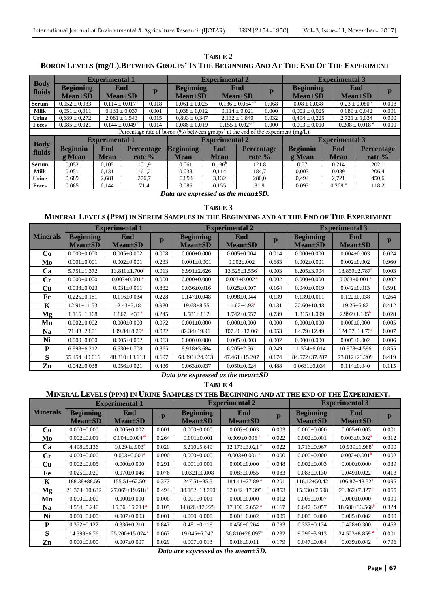**TABLE 2** BORON LEVELS (mg/L).BETWEEN GROUPS' IN THE BEGINNING AND AT THE END OF THE EXPERIMENT

|                       |                                     | <b>Experimental 1</b> |                                         |       |                                                                                         |             | <b>Experimental 2</b>           |                         |                                   | <b>Experimental 3</b> |                                |       |  |
|-----------------------|-------------------------------------|-----------------------|-----------------------------------------|-------|-----------------------------------------------------------------------------------------|-------------|---------------------------------|-------------------------|-----------------------------------|-----------------------|--------------------------------|-------|--|
| <b>Body</b><br>fluids | <b>Beginning</b><br><b>Mean</b> ±SD |                       | End<br><b>Mean</b> ±SD                  |       | <b>Beginning</b><br><b>Mean</b> ±SD                                                     |             | End<br>$Mean \pm SD$            | $\overline{\mathbf{P}}$ | <b>Beginning</b><br>$Mean \pm SD$ |                       | End<br><b>Mean</b> ±SD         | P     |  |
| <b>Serum</b>          | $0.052 \pm 0.033$                   |                       | $0.114 \pm 0.017$ <sup>b</sup><br>0.018 |       | $0.061 \pm 0.025$                                                                       |             | $0.136 \pm 0.064$ <sup>ab</sup> | 0.068                   | $0.08 \pm 0.038$                  |                       | $0.23 \pm 0.080$ <sup>a</sup>  | 0.008 |  |
| <b>Milk</b>           | $0.051 \pm 0.011$                   |                       | $0.131 \pm 0.037$                       | 0.001 | $0.038 \pm 0.012$                                                                       |             | $0.114 \pm 0.021$               | 0.000                   | $0.003 \pm 0.025$                 |                       | $0.089 \pm 0.042$              | 0.001 |  |
| <b>Urine</b>          | $0.689 \pm 0.272$                   |                       | $2,081 \pm 1,543$                       | 0.015 | $0.893 \pm 0.347$                                                                       |             | $2,132 \pm 1,840$               | 0.032                   | $0,494 \pm 0,225$                 |                       | $2,721 \pm 1,034$              | 0.000 |  |
| <b>Feces</b>          | $0.085 \pm 0.021$                   |                       | $0.144 \pm 0.049$ <sup>b</sup>          | 0.014 | $0.086 \pm 0.019$                                                                       |             | $0.155 \pm 0.027$ <sup>b</sup>  | 0.000                   | $0.093 \pm 0.010$                 |                       | $0.208 \pm 0.018$ <sup>a</sup> | 0.000 |  |
|                       |                                     |                       |                                         |       | Percentage rate of boron $(\%)$ between groups' at the end of the experiment $(mg/L)$ . |             |                                 |                         |                                   |                       |                                |       |  |
|                       | <b>Experimental 1</b>               |                       |                                         |       | <b>Experimental 2</b>                                                                   |             |                                 |                         | <b>Experimental 3</b>             |                       |                                |       |  |
| <b>Body</b><br>fluids | <b>Beginnin</b>                     | End                   | <b>Percentage</b>                       |       | <b>Beginning</b>                                                                        | End         |                                 | <b>Percentage</b>       | <b>Beginnin</b>                   | End                   | <b>Percentage</b>              |       |  |
|                       | g Mean                              | <b>Mean</b>           | rate $\%$                               |       | <b>Mean</b>                                                                             | <b>Mean</b> |                                 | rate $\%$               | g Mean                            | <b>Mean</b>           | rate %                         |       |  |
| <b>Serum</b>          | 0.052                               | 0.105                 |                                         | 101.9 | 0.061                                                                                   | $0.136^b$   |                                 | 121.8                   | 0.07                              | 0.214                 | 202.1                          |       |  |
| <b>Milk</b>           | 0.051                               | 0.131                 |                                         | 161,2 | 0.038                                                                                   | 0.114       |                                 | 184.7                   | 0.003                             | 0.089                 | 206.4                          |       |  |
| <b>Urine</b>          | 0.689                               | 2,681                 |                                         | 276,7 | 0.893                                                                                   | 3,132       |                                 | 286.0                   | 0.494                             | 2.721                 | 450.6                          |       |  |
| Feces                 | 0.085                               | 0.144                 |                                         | 71.4  | 0.086                                                                                   | 0.155       |                                 | 81.9                    | 0.093                             | 0.208 <sup>a</sup>    | 118.2                          |       |  |

*Data are expressed as the mean±SD.*

**TABLE 3**

### MINERAL LEVELS (PPM) IN SERUM SAMPLES IN THE BEGINNING AND AT THE END OF THE EXPERIMENT

|                 |                   | <b>Experimental 1</b>           |       |                   | <b>Experimental 2</b>          |       | <b>Experimental 3</b> |                                 |       |  |
|-----------------|-------------------|---------------------------------|-------|-------------------|--------------------------------|-------|-----------------------|---------------------------------|-------|--|
| <b>Minerals</b> | <b>Beginning</b>  | End                             | P     | <b>Beginning</b>  | End                            | P     | <b>Beginning</b>      | End                             | P     |  |
|                 | <b>Mean</b> ±SD   | <b>Mean</b> ±SD                 |       | <b>Mean</b> ±SD   | $Mean \pm SD$                  |       | $Mean \pm SD$         | <b>Mean</b> ±SD                 |       |  |
| Co              | $0.000 \pm 0.000$ | $0.005 \pm 0.002$               | 0.008 | $0.000 \pm 0.000$ | $0.005 \pm 0.004$              | 0.014 | $0.000 \pm 0.000$     | $0.004 \pm 0.003$               | 0.024 |  |
| Mo              | $0.001 \pm 0.001$ | $0.002 \pm 0.001$               | 0.233 | $0.001 \pm 0.001$ | $0.002 \pm 0.002$              | 0.683 | $0.002 \pm 0.001$     | $0.002 \pm 0.002$               | 0.960 |  |
| Ca              | $5.751 \pm 1.372$ | $13.810 \pm 1.700$ <sup>a</sup> | 0.013 | $6.991 \pm 2.626$ | $13.525 \pm 1.556^a$           | 0.003 | $8.205 \pm 3.904$     | $18.859 \pm 2.787$ <sup>a</sup> | 0.003 |  |
| $\mathbf{C}$ r  | $0.000 \pm 0.000$ | $0.003 \pm 0.001$ <sup>a</sup>  | 0.000 | $0.000 \pm 0.000$ | $0.003 \pm 0.002$ <sup>a</sup> | 0.002 | $0.000 \pm 0.000$     | $0.003 \pm 0.001$ <sup>a</sup>  | 0.002 |  |
| Cu              | $0.033 \pm 0.023$ | $0.031 \pm 0.011$               | 0.832 | $0.036 \pm 0.016$ | $0.025 \pm 0.007$              | 0.164 | $0.040 \pm 0.019$     | $0.042 \pm 0.013$               | 0.591 |  |
| Fe              | $0.225 \pm 0.181$ | $0.116 \pm 0.034$               | 0.228 | $0.147 \pm 0.048$ | $0.098 \pm 0.044$              | 0.139 | $0.139 \pm 0.011$     | $0.122 \pm 0.038$               | 0.264 |  |
| K               | $12.91 \pm 11.53$ | $12.43 \pm 3.18$                | 0.930 | $19.68 \pm 8.55$  | $11.62 \pm 4.93^a$             | 0.131 | $22.60 \pm 10.48$     | $19.26 \pm 6.87$                | 0.412 |  |
| Mg              | $1.116 \pm 1.168$ | $1.867 \pm .433$ <sup>a</sup>   | 0.245 | $1.581 \pm .812$  | $1.742 \pm 0.557$              | 0.739 | $1.815 \pm 1.099$     | $2.992 \pm 1.105$ <sup>b</sup>  | 0.028 |  |
| Mn              | $0.002 \pm 0.002$ | $0.000 \pm 0.000$               | 0.072 | $0.001 \pm 0.000$ | $0.000 \pm 0.000$              | 0.000 | $0.000 \pm 0.000$     | $0.000 \pm 0.000$               | 0.005 |  |
| Na              | $71.43 \pm 23.01$ | $109.84 \pm 8.29$ <sup>a</sup>  | 0.022 | $82.34 \pm 19.91$ | $107.40 \pm 12.06^a$           | 0.053 | $84.79 \pm 12.49$     | $124.57 \pm 14.70^a$            | 0.007 |  |
| Ni              | $0.000 \pm 0.000$ | $0.005 \pm 0.002$               | 0.013 | $0.000 \pm 0.000$ | $0.005 \pm 0.003$              | 0.002 | $0.000 \pm 0.000$     | $0.005 \pm 0.002$               | 0.006 |  |
| P               | $6.998 \pm 6.212$ | $6.530 \pm 1.708$               | 0.865 | $8.918 \pm 3.684$ | $6.205 \pm 2.661$              | 0.249 | $11.374 \pm 6.014$    | $10.978 \pm 4.596$              | 0.855 |  |
| S               | 55.454±40.016     | 48.310±13.113                   | 0.697 | 68.891±24.963     | 47.461±15.207                  | 0.174 | 84.572±37.287         | 73.812±23.209                   | 0.419 |  |
| Zn              | $0.042 \pm 0.038$ | $0.056 \pm 0.021$               | 0.436 | $0.063 \pm 0.037$ | $0.050 \pm 0.024$              | 0.488 | $0.0631 \pm 0.034$    | $0.114 \pm 0.040$               | 0.115 |  |

*Data are expressed as the mean±SD*

**TABLE 4**

## **MINERAL LEVELS (PPM) IN URINE SAMPLES IN THE BEGINNING AND AT THE END OF THE EXPERIMENT.**

|                 |                                   | <b>Experimental 1</b>            |       |                                     | <b>Experimental 2</b>            | <b>Experimental 3</b> |                                     |                                 |       |
|-----------------|-----------------------------------|----------------------------------|-------|-------------------------------------|----------------------------------|-----------------------|-------------------------------------|---------------------------------|-------|
| <b>Minerals</b> | <b>Beginning</b><br>$Mean \pm SD$ | End<br>$Mean \pm SD$             | P     | <b>Beginning</b><br><b>Mean</b> ±SD | End<br><b>Mean</b> ±SD           | P                     | <b>Beginning</b><br><b>Mean</b> ±SD | End<br><b>Mean</b> ±SD          | P     |
| Co              | $0.000 \pm 0.000$                 | $0.005 \pm 0.002$                | 0.001 | $0.000 \pm 0.000$                   | $0.007 \pm 0.003$                | 0.003                 | $0.000 \pm 0.000$                   | $0.005 \pm 0.003$               | 0.001 |
| Mo              | $0.002 \pm 0.001$                 | $0.004 \pm 0.004$ <sup>ab</sup>  | 0.264 | $0.001 \pm 0.001$                   | $0.009 \pm 0.006$ <sup>a</sup>   | 0.022                 | $0.002 \pm 0.001$                   | $0.003 \pm 0.002^b$             | 0.312 |
| Ca              | $4.498 \pm 5.136$                 | $10.294 \pm .903^a$              | 0.020 | $5.210 \pm 5.649$                   | $12.173 \pm 3.021$ <sup>a</sup>  | 0.022                 | $1.716 \pm 0.967$                   | $10.939 \pm 1.988$ <sup>a</sup> | 0.000 |
| $\mathbf{C}$ r  | $0.000 \pm 0.000$                 | $0.003 \pm 0.001^a$              | 0.000 | $0.000 \pm 0.000$                   | $0.003 \pm 0.001$ <sup>a</sup>   | 0.000                 | $0.000 \pm 0.000$                   | $0.002 \pm 0.001$ <sup>b</sup>  | 0.002 |
| <b>Cu</b>       | $0.002 \pm 0.005$                 | $0.000 \pm 0.000$                | 0.291 | $0.001 \pm 0.001$                   | $0.000 \pm 0.000$                | 0.048                 | $0.002 \pm 0.003$                   | $0.000 \pm 0.000$               | 0.039 |
| Fe              | $0.025 \pm 0.020$                 | $0.070 \pm 0.046$                | 0.076 | $0.0321 \pm 0.008$                  | $0.083 \pm 0.055$                | 0.083                 | $0.083 \pm 0.130$                   | $0.049 \pm 0.022$               | 0.413 |
| K               | 188.38±88.56                      | $155.51 \pm 62.50^a$             | 0.377 | $247.51 \pm 85.5$                   | $184.41 \pm 77.89$ <sup>a</sup>  | 0.201                 | $116.12 \pm 50.42$                  | $106.87 \pm 48.52^{\circ}$      | 0.095 |
| Mg              | $21.374 \pm 10.632$               | $27.069 \pm 19.618$ <sup>a</sup> | 0.494 | $30.182 \pm 13.290$                 | 32.042±17.395                    | 0.853                 | $15.630\pm7.598$                    | $23.362 \pm 7.327$ <sup>a</sup> | 0.055 |
| Mn              | $0.000 \pm 0.000$                 | $0.000 \pm 0.000$                | 0.000 | $0.001 \pm 0.001$                   | $0.000 \pm 0.000$                | 0.012                 | $0.005 \pm 0.007$                   | $0.000 \pm 0.000$               | 0.090 |
| Na              | $4.584 \pm 5.240$                 | $15.56 \pm 15.214$ <sup>a</sup>  | 0.105 | 14.826±12.229                       | $17.190 \pm 7.652$ <sup>a</sup>  | 0.167                 | $6.647 \pm 6.057$                   | $18.680\pm33.566^b$             | 0.324 |
| Ni              | $0.000 \pm 0.000$                 | $0.007 \pm 0.003$                | 0.001 | $0.000 \pm 0.000$                   | $0.004 \pm 0.002$                | 0.005                 | $0.000 \pm 0.000$                   | $0.005 \pm 0.002$               | 0.000 |
| P               | $0.352 \pm 0.122$                 | $0.336 \pm 0.210$                | 0.847 | $0.481 \pm 0.119$                   | $0.456 \pm 0.264$                | 0.793                 | $0.333 \pm 0.134$                   | $0.428 \pm 0.300$               | 0.453 |
| S               | 14.399±6.76                       | $25.200 \pm 15.074$ <sup>a</sup> | 0.067 | 19.045±6.047                        | $36.810 \pm 28.097$ <sup>a</sup> | 0.232                 | $9.296 \pm 3.913$                   | $24.523 \pm 8.859$ <sup>a</sup> | 0.001 |
| Zn              | $0.000 \pm 0.000$                 | $0.007 \pm 0.007$                | 0.029 | $0.007 \pm 0.013$                   | $0.016 \pm 0.011$                | 0.179                 | $0.047 \pm 0.084$                   | $0.039 \pm 0.042$               | 0.796 |

*Data are expressed as the mean±SD.*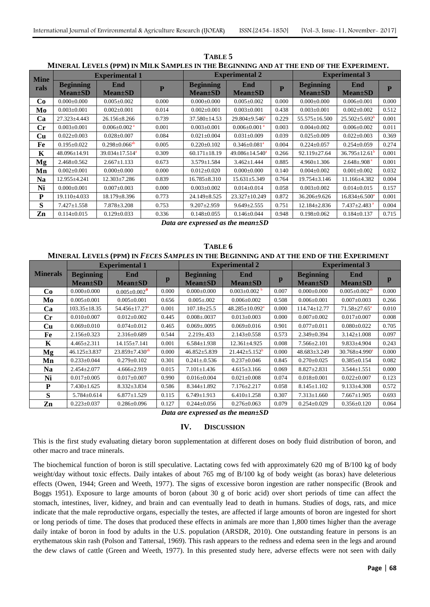**TABLE 5 MINERAL LEVELS (PPM) IN MILK SAMPLES IN THE BEGINNING AND AT THE END OF THE EXPERIMENT.**

| <b>Mine</b> |                                     | <b>Experimental 1</b>           |                         |                                     | <b>Experimental 2</b>           |       | <b>Experimental 3</b>               |                                |       |  |
|-------------|-------------------------------------|---------------------------------|-------------------------|-------------------------------------|---------------------------------|-------|-------------------------------------|--------------------------------|-------|--|
| rals        | <b>Beginning</b><br><b>Mean</b> ±SD | End<br><b>Mean</b> ±SD          | $\overline{\mathbf{P}}$ | <b>Beginning</b><br><b>Mean</b> ±SD | End<br>$Mean \pm SD$            | P     | <b>Beginning</b><br><b>Mean</b> ±SD | End<br><b>Mean</b> ±SD         | P     |  |
| Co          | $0.000 \pm 0.000$                   | $0.005 \pm 0.002$               | 0.000                   | $0.000 \pm 0.000$                   | $0.005 \pm 0.002$               | 0.000 | $0.000 \pm 0.000$                   | $0.006 \pm 0.001$              | 0.000 |  |
| Mo          | $0.003 \pm 0.001$                   | $0.002 \pm 0.001$               | 0.014                   | $0.002 \pm 0.001$                   | $0.003 \pm 0.001$               | 0.438 | $0.003 \pm 0.001$                   | $0.002 \pm 0.002$              | 0.512 |  |
| Ca          | $27.323 \pm 4.443$                  | $26.156 \pm 8.266$              | 0.739                   | $37.580 \pm 14.53$                  | $29.804 \pm 9.546$ <sup>a</sup> | 0.229 | 55.575±16.500                       | $25.502 \pm 5.692^{\circ}$     | 0.001 |  |
| Сr          | $0.003 \pm 0.001$                   | $0.006 \pm 0.002$ <sup>a</sup>  | 0.001                   | $0.003 \pm 0.001$                   | $0.006 \pm 0.001$ <sup>a</sup>  | 0.003 | $0.004 \pm 0.002$                   | $0.006 \pm 0.002$              | 0.011 |  |
| Cu          | $0.022 \pm 0.003$                   | $0.028 \pm 0.007$               | 0.084                   | $0.021 \pm 0.004$                   | $0.031 \pm 0.009$               | 0.039 | $0.025 \pm 0.009$                   | $0.022 \pm 0.003$              | 0.369 |  |
| Fe          | $0.195 \pm 0.022$                   | $0.298 \pm 0.066$ <sup>ab</sup> | 0.005                   | $0.220 \pm 0.102$                   | $0.346 \pm 0.081$ <sup>a</sup>  | 0.004 | $0.224 \pm 0.057$                   | $0.254 \pm 0.059$              | 0.274 |  |
| K           | 48.096±14.91                        | $39.034 \pm 17.514^a$           | 0.309                   | $60.171 \pm 18.19$                  | $49.086 \pm 14.540^a$           | 0.266 | 92.119±27.64                        | $36.795 \pm 12.61^{\circ}$     | 0.001 |  |
| Mg          | $2.468 \pm 0.562$                   | $2.667 \pm 1.133$               | 0.673                   | $3.579 \pm 1.584$                   | $3.462 \pm 1.444$               | 0.885 | $4.960 \pm 1.306$                   | $2.648 \pm .908$ <sup>a</sup>  | 0.001 |  |
| Mn          | $0.002 \pm 0.001$                   | $0.000 \pm 0.000$               | 0.000                   | $0.012 \pm 0.020$                   | $0.000 \pm 0.000$               | 0.140 | $0.004 \pm 0.002$                   | $0.001 \pm 0.002$              | 0.032 |  |
| <b>Na</b>   | 12.955±4.241                        | $12.303 \pm 7.286$              | 0.839                   | $16.785 \pm 8.310$                  | $15.631 \pm 5.349$              | 0.764 | $19.754 \pm 3.146$                  | 11.166±4.382                   | 0.004 |  |
| Ni          | $0.000 \pm 0.001$                   | $0.007 \pm 0.003$               | 0.000                   | $0.003 \pm 0.002$                   | $0.014 \pm 0.014$               | 0.058 | $0.003 \pm 0.002$                   | $0.014 \pm 0.015$              | 0.157 |  |
| P           | $19.110\pm4.033$                    | 18.179±8.396                    | 0.773                   | 24.149±8.525                        | 23.327±10.249                   | 0.872 | 36.206±9.626                        | $16.834 \pm 6.500^a$           | 0.001 |  |
| S           | $7.427 \pm 1.558$                   | $7.878 \pm 3.208$               | 0.753                   | $9.207 \pm 2.959$                   | $9.649 \pm 2.555$               | 0.751 | 12.184±2.836                        | $7.437 \pm 2.483$ <sup>a</sup> | 0.004 |  |
| Zn          | $0.114 \pm 0.015$                   | $0.129 \pm 0.033$               | 0.336                   | $0.148 \pm 0.055$                   | $0.146 \pm 0.044$               | 0.948 | $0.198 \pm 0.062$                   | $0.184 \pm 0.137$              | 0.715 |  |

*Data are expressed as the mean±SD*

**TABLE 6 MINERAL LEVELS (PPM) IN** *FECES SAMPLES* **IN THE BEGINNING AND AT THE END OF THE EXPERIMENT**

|                 |                                     | <b>Experimental 1</b>            |       |                                   | <b>Experimental 2</b>            | <b>Experimental 3</b> |                                     |                                 |       |
|-----------------|-------------------------------------|----------------------------------|-------|-----------------------------------|----------------------------------|-----------------------|-------------------------------------|---------------------------------|-------|
| <b>Minerals</b> | <b>Beginning</b><br><b>Mean</b> ±SD | End<br><b>Mean</b> ±SD           | p     | <b>Beginning</b><br>$Mean \pm SD$ | End<br><b>Mean</b> ±SD           | p                     | <b>Beginning</b><br><b>Mean</b> ±SD | End<br><b>Mean</b> ±SD          | p     |
| Co              | $0.000 \pm 0.000$                   | $0.005 \pm 0.002^{\text{at}}$    | 0.000 | $0.000 \pm 0.000$                 | $0.003 \pm 0.002$                | 0.007                 | $0.000 \pm 0.000$                   | $0.005 \pm 0.002$ <sup>ab</sup> | 0.000 |
| Mo              | $0.005 \pm 0.001$                   | $0.005 \pm 0.001$                | 0.656 | $0.005 \pm 0.002$                 | $0.006 \pm 0.002$                | 0.508                 | $0.006 \pm 0.001$                   | $0.007 + 0.003$                 | 0.266 |
| Ca              | $103.35 \pm 18.35$                  | $54.456 \pm 17.27$ <sup>a</sup>  | 0.001 | $107.18 \pm 25.5$                 | $48.285 \pm 10.092$ <sup>a</sup> | 0.000                 | 114.74±12.77                        | $71.58 \pm 27.65^a$             | 0.010 |
| $C_{r}$         | $0.010\pm0.007$                     | $0.012 \pm 0.002$                | 0.445 | $0.008 \pm 0.0037$                | $0.013 \pm 0.003$                | 0.000                 | $0.007 \pm 0.002$                   | $0.017 \pm 0.007$               | 0.008 |
| <b>Cu</b>       | $0.069 \pm 0.010$                   | $0.074 \pm 0.012$                | 0.465 | $0.069 \pm 0.0095$                | $0.069 \pm 0.016$                | 0.901                 | $0.077 \pm 0.011$                   | $0.080 \pm 0.022$               | 0.705 |
| Fe              | $2.156 \pm 0.323$                   | $2.316 \pm 0.689$                | 0.544 | $2.219 \pm .433$                  | $2.143 \pm 0.558$                | 0.573                 | 2.349±0.394                         | $3.142 \pm 1.008$               | 0.097 |
| K               | $4.465 \pm 2.311$                   | 14.155±7.141                     | 0.001 | $6.584 \pm 1.938$                 | 12.361±4.925                     | 0.008                 | $7.566 \pm 2.101$                   | 9.833±4.904                     | 0.243 |
| Mg              | 46.125±3.837                        | $23.859 \pm 7.430$ <sup>ab</sup> | 0.000 | $46.852 \pm 5.839$                | $21.442 \pm 5.152^b$             | 0.000                 | 48.683±3.249                        | $30.768 \pm 4.990^a$            | 0.000 |
| Mn              | $0.233 \pm 0.044$                   | $0.279 \pm 0.102$                | 0.301 | $0.241 \pm 0.536$                 | $0.237 \pm 0.046$                | 0.845                 | $0.270 \pm 0.025$                   | $0.385 \pm 0.154$               | 0.082 |
| <b>Na</b>       | $2.454 \pm 2.077$                   | $4.666 \pm 2.919$                | 0.015 | $7.101 \pm 1.436$                 | $4.615 \pm 3.166$                | 0.069                 | $8.827 \pm 2.831$                   | $3.544 \pm 1.551$               | 0.000 |
| Ni              | $0.017 \pm 0.005$                   | $0.017 \pm 0.007$                | 0.990 | $0.016 \pm 0.004$                 | $0.021 \pm 0.008$                | 0.074                 | $0.018 \pm 0.001$                   | $0.022 \pm 0.007$               | 0.123 |
| P               | $7.430 \pm 1.625$                   | $8.332 \pm 3.834$                | 0.586 | $8.344 \pm 1.892$                 | $7.176 \pm 2.217$                | 0.058                 | $8.145 \pm 1.102$                   | $9.133 \pm 4.308$               | 0.572 |
| S               | $5.784 \pm 0.614$                   | $6.877 \pm 1.529$                | 0.115 | $6.749 \pm 1.913$                 | $6.410 \pm 1.258$                | 0.307                 | $7.313 \pm 1.660$                   | $7.667 \pm 1.905$               | 0.693 |
| Zn              | $0.223 \pm 0.037$                   | $0.286 \pm 0.096$                | 0.127 | $0.244 \pm 0.056$                 | $0.276 \pm 0.063$                | 0.079                 | $0.254 \pm 0.029$                   | $0.356 \pm 0.120$               | 0.064 |

*Data are expressed as the mean±SD*

### **IV. DISCUSSION**

This is the first study evaluating dietary boron supplementation at different doses on body fluid distribution of boron, and other macro and trace minerals.

The biochemical function of boron is still speculative. Lactating cows fed with approximately 620 mg of B/100 kg of body weight/day without toxic effects. Daily intakes of about 765 mg of B/100 kg of body weight (as borax) have deleterious effects (Owen, 1944; Green and Weeth, 1977). The signs of excessive boron ingestion are rather nonspecific (Brook and Boggs 1951). Exposure to large amounts of boron (about 30 g of boric acid) over short periods of time can affect the stomach, intestines, liver, kidney, and brain and can eventually lead to death in humans. Studies of dogs, rats, and mice indicate that the male reproductive organs, especially the testes, are affected if large amounts of boron are ingested for short or long periods of time. The doses that produced these effects in animals are more than 1,800 times higher than the average daily intake of boron in food by adults in the U.S. population (ARSDR, 2010). One outstanding feature in persons is an erythematous skin rash (Polson and Tattersal, 1969). This rash appears to the redness and edema seen in the legs and around the dew claws of cattle (Green and Weeth, 1977). In this presented study here, adverse effects were not seen with daily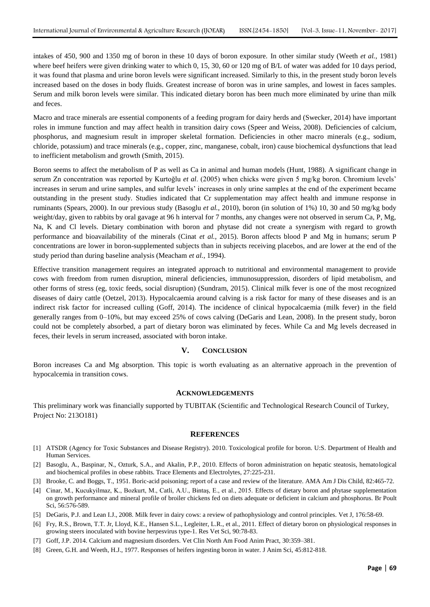intakes of 450, 900 and 1350 mg of boron in these 10 days of boron exposure. In other similar study (Weeth *et al.*, 1981) where beef heifers were given drinking water to which 0, 15, 30, 60 or 120 mg of B/L of water was added for 10 days period, it was found that plasma and urine boron levels were significant increased. Similarly to this, in the present study boron levels increased based on the doses in body fluids. Greatest increase of boron was in urine samples, and lowest in faces samples. Serum and milk boron levels were similar. This indicated dietary boron has been much more eliminated by urine than milk and feces.

Macro and trace minerals are essential components of a feeding program for dairy herds and (Swecker, 2014) have important roles in immune function and may affect health in transition dairy cows (Speer and Weiss, 2008). Deficiencies of calcium, phosphorus, and magnesium result in improper skeletal formation. Deficiencies in other macro minerals (e.g., sodium, chloride, potassium) and trace minerals (e.g., copper, zinc, manganese, cobalt, iron) cause biochemical dysfunctions that lead to inefficient metabolism and growth (Smith, 2015).

Boron seems to affect the metabolism of P as well as Ca in animal and human models (Hunt, 1988). A significant change in serum Zn concentration was reported by Kurtoğlu *et al*. (2005) when chicks were given 5 mg/kg boron. Chromium levels' increases in serum and urine samples, and sulfur levels' increases in only urine samples at the end of the experiment became outstanding in the present study. Studies indicated that Cr supplementation may affect health and immune response in ruminants (Spears, 2000). In our previous study (Basoglu *et al.*, 2010), boron (in solution of 1%) 10, 30 and 50 mg/kg body weight/day, given to rabbits by oral gavage at 96 h interval for 7 months, any changes were not observed in serum Ca, P, Mg, Na, K and Cl levels. Dietary combination with boron and phytase did not create a synergism with regard to growth performance and bioavailability of the minerals (Cinat *et al.*, 2015). Boron affects blood P and Mg in humans; serum P concentrations are lower in boron-supplemented subjects than in subjects receiving placebos, and are lower at the end of the study period than during baseline analysis (Meacham *et al.*, 1994).

Effective transition management requires an integrated approach to nutritional and environmental management to provide cows with freedom from rumen disruption, mineral deficiencies, immunosuppression, disorders of lipid metabolism, and other forms of stress (eg, toxic feeds, social disruption) (Sundram, 2015). Clinical milk fever is one of the most recognized diseases of dairy cattle (Oetzel, 2013). Hypocalcaemia around calving is a risk factor for many of these diseases and is an indirect risk factor for increased culling (Goff, 2014). The incidence of clinical hypocalcaemia (milk fever) in the field generally ranges from 0–10%, but may exceed 25% of cows calving (DeGaris and Lean, 2008). In the present study, boron could not be completely absorbed, a part of dietary boron was eliminated by feces. While Ca and Mg levels decreased in feces, their levels in serum increased, associated with boron intake.

### **V. CONCLUSION**

Boron increases Ca and Mg absorption. This topic is worth evaluating as an alternative approach in the prevention of hypocalcemia in transition cows.

### **ACKNOWLEDGEMENTS**

This preliminary work was financially supported by TUBITAK (Scientific and Technological Research Council of Turkey, Project No: 213O181)

#### **REFERENCES**

- [1] ATSDR (Agency for Toxic Substances and Disease Registry). 2010. Toxicological profile for boron. U:S. Department of Health and Human Services.
- [2] Basoglu, A., Baspinar, N., Ozturk, S.A., and Akalin, P.P., 2010. Effects of boron administration on hepatic steatosis, hematological and biochemical profiles in obese rabbits. Trace Elements and Electrolytes, 27:225-231.
- [3] Brooke, C. and Boggs, T., 1951. [Boric-acid poisoning; report of a case and review of the literature.](http://www.ncbi.nlm.nih.gov/pubmed/14867801) AMA Am J Dis Child, 82:465-72.
- [4] Cinar, M., Kucukyilmaz, K., Bozkurt, M., Catli, A.U., Bintaş, E., et al., 2015. [Effects of dietary boron and phytase supplementation](http://www.ncbi.nlm.nih.gov/pubmed/26238731)  [on growth performance and mineral profile of broiler chickens fed on diets adequate or deficient in calcium and phosphorus.](http://www.ncbi.nlm.nih.gov/pubmed/26238731) Br Poult Sci, 56:576-589.
- [5] DeGaris, P.J. and Lean I.J., 2008. [Milk fever in dairy cows: a review of pathophysiology and control principles.](http://www.ncbi.nlm.nih.gov/pubmed/18329301) Vet J, 176:58-69.
- [6] Fry, R.S., Brown, T.T. Jr, Lloyd, K.E., Hansen S.L., Legleiter, L.R., et al., 2011. Effect of dietary boron [on physiological responses in](http://www.ncbi.nlm.nih.gov/pubmed/20493506)  [growing steers inoculated with bovine herpesvirus type-1.](http://www.ncbi.nlm.nih.gov/pubmed/20493506) Res Vet Sci, 90:78-83.
- [7] Goff, J.P[. 2014. Calcium and magnesium disorders.](http://www.sciencedirect.com/science/article/pii/S0749072014000309) Vet Clin North Am Food Anim Pract, 30:359–381.
- [8] Green, G.H. and Weeth, H.J., 1977. [Responses of heifers ingesting boron in water.](http://www.ncbi.nlm.nih.gov/pubmed/924908) J Anim Sci, 45:812-818.